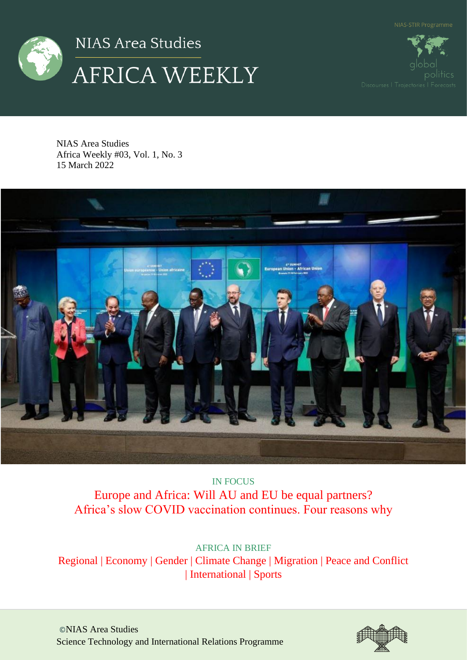



NIAS Area Studies Africa Weekly #03, Vol. 1, No. 3 15 March 2022



IN FOCUS Europe and Africa: Will AU and EU be equal partners? Africa's slow COVID vaccination continues. Four reasons why

AFRICA IN BRIEF Regional | Economy | Gender | Climate Change | Migration | Peace and Conflict | International | Sports

©NIAS Area Studies Science Technology and International Relations Programme

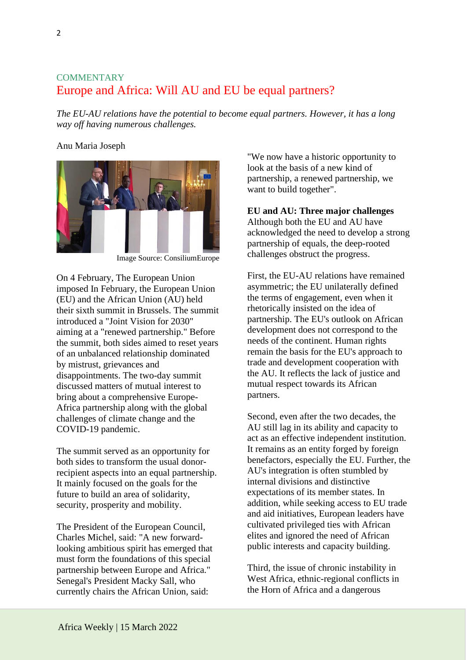# **COMMENTARY** Europe and Africa: Will AU and EU be equal partners?

*The EU-AU relations have the potential to become equal partners. However, it has a long way off having numerous challenges.*

### Anu Maria Joseph



Image Source: ConsiliumEurope

On 4 February, The European Union imposed In February, the European Union (EU) and the African Union (AU) held their sixth summit in Brussels. The summit introduced a "Joint Vision for 2030" aiming at a "renewed partnership." Before the summit, both sides aimed to reset years of an unbalanced relationship dominated by mistrust, grievances and disappointments. The two-day summit discussed matters of mutual interest to bring about a comprehensive Europe-Africa partnership along with the global challenges of climate change and the COVID-19 pandemic.

The summit served as an opportunity for both sides to transform the usual donorrecipient aspects into an equal partnership. It mainly focused on the goals for the future to build an area of solidarity, security, prosperity and mobility.

The President of the European Council, Charles Michel, said: "A new forwardlooking ambitious spirit has emerged that must form the foundations of this special partnership between Europe and Africa." Senegal's President Macky Sall, who currently chairs the African Union, said:

"We now have a historic opportunity to look at the basis of a new kind of partnership, a renewed partnership, we want to build together".

### **EU and AU: Three major challenges**

Although both the EU and AU have acknowledged the need to develop a strong partnership of equals, the deep-rooted challenges obstruct the progress.

First, the EU-AU relations have remained asymmetric; the EU unilaterally defined the terms of engagement, even when it rhetorically insisted on the idea of partnership. The EU's outlook on African development does not correspond to the needs of the continent. Human rights remain the basis for the EU's approach to trade and development cooperation with the AU. It reflects the lack of justice and mutual respect towards its African partners.

Second, even after the two decades, the AU still lag in its ability and capacity to act as an effective independent institution. It remains as an entity forged by foreign benefactors, especially the EU. Further, the AU's integration is often stumbled by internal divisions and distinctive expectations of its member states. In addition, while seeking access to EU trade and aid initiatives, European leaders have cultivated privileged ties with African elites and ignored the need of African public interests and capacity building.

Third, the issue of chronic instability in West Africa, ethnic-regional conflicts in the Horn of Africa and a dangerous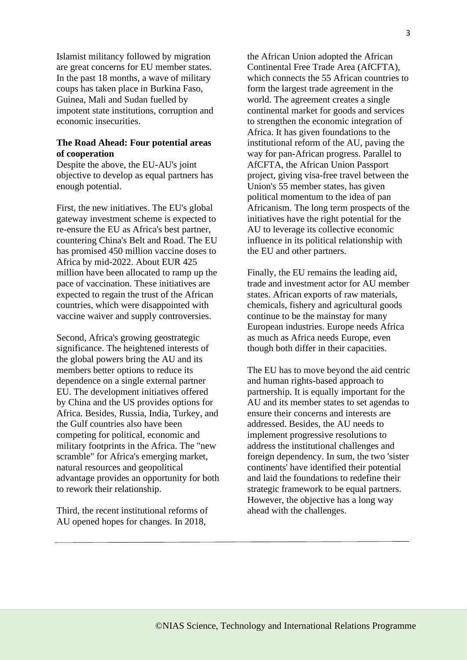Islamist militancy followed by migration are great concerns for EU member states. In the past 18 months, a wave of military coups has taken place in Burkina Faso, Guinea, Mali and Sudan fuelled by impotent state institutions, corruption and economic insecurities.

## **The Road Ahead: Four potential areas of cooperation**

Despite the above, the EU-AU's joint objective to develop as equal partners has enough potential.

First, the new initiatives. The EU's global gateway investment scheme is expected to re-ensure the EU as Africa's best partner, countering China's Belt and Road. The EU has promised 450 million vaccine doses to Africa by mid-2022. About EUR 425 million have been allocated to ramp up the pace of vaccination. These initiatives are expected to regain the trust of the African countries, which were disappointed with vaccine waiver and supply controversies.

Second, Africa's growing geostrategic significance. The heightened interests of the global powers bring the AU and its members better options to reduce its dependence on a single external partner EU. The development initiatives offered by China and the US provides options for Africa. Besides, Russia, India, Turkey, and the Gulf countries also have been competing for political, economic and military footprints in the Africa. The "new scramble" for Africa's emerging market, natural resources and geopolitical advantage provides an opportunity for both to rework their relationship.

Third, the recent institutional reforms of AU opened hopes for changes. In 2018,

the African Union adopted the African Continental Free Trade Area (AfCFTA), which connects the 55 African countries to form the largest trade agreement in the world. The agreement creates a single continental market for goods and services to strengthen the economic integration of Africa. It has given foundations to the institutional reform of the AU, paving the way for pan-African progress. Parallel to AfCFTA, the African Union Passport project, giving visa-free travel between the Union's 55 member states, has given political momentum to the idea of pan Africanism. The long term prospects of the initiatives have the right potential for the AU to leverage its collective economic influence in its political relationship with the EU and other partners.

Finally, the EU remains the leading aid, trade and investment actor for AU member states. African exports of raw materials, chemicals, fishery and agricultural goods continue to be the mainstay for many European industries. Europe needs Africa as much as Africa needs Europe, even though both differ in their capacities.

The EU has to move beyond the aid centric and human rights-based approach to partnership. It is equally important for the AU and its member states to set agendas to ensure their concerns and interests are addressed. Besides, the AU needs to implement progressive resolutions to address the institutional challenges and foreign dependency. In sum, the two 'sister continents' have identified their potential and laid the foundations to redefine their strategic framework to be equal partners. However, the objective has a long way ahead with the challenges.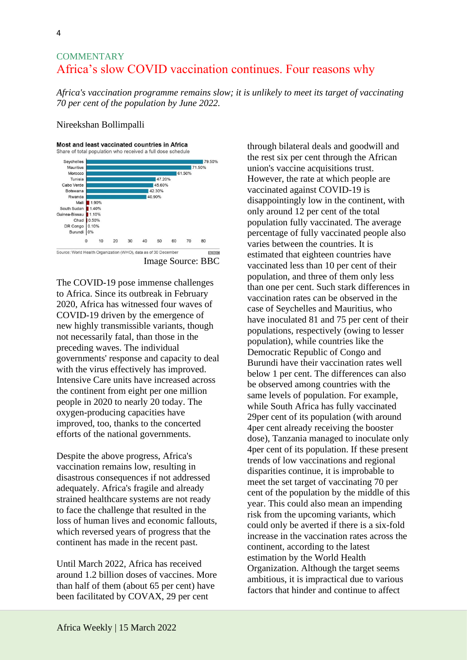# **COMMENTARY** Africa's slow COVID vaccination continues. Four reasons why

*Africa's vaccination programme remains slow; it is unlikely to meet its target of vaccinating 70 per cent of the population by June 2022.*

#### Nireekshan Bollimpalli

#### Most and least vaccinated countries in Africa



The COVID-19 pose immense challenges to Africa. Since its outbreak in February 2020, Africa has witnessed four waves of COVID-19 driven by the emergence of new highly transmissible variants, though not necessarily fatal, than those in the preceding waves. The individual governments' response and capacity to deal with the virus effectively has improved. Intensive Care units have increased across the continent from eight per one million people in 2020 to nearly 20 today. The oxygen-producing capacities have improved, too, thanks to the concerted efforts of the national governments.

Despite the above progress, Africa's vaccination remains low, resulting in disastrous consequences if not addressed adequately. Africa's fragile and already strained healthcare systems are not ready to face the challenge that resulted in the loss of human lives and economic fallouts, which reversed years of progress that the continent has made in the recent past.

Until March 2022, Africa has received around 1.2 billion doses of vaccines. More than half of them (about 65 per cent) have been facilitated by COVAX, 29 per cent

through bilateral deals and goodwill and the rest six per cent through the African union's vaccine acquisitions trust. However, the rate at which people are vaccinated against COVID-19 is disappointingly low in the continent, with only around 12 per cent of the total population fully vaccinated. The average percentage of fully vaccinated people also varies between the countries. It is estimated that eighteen countries have vaccinated less than 10 per cent of their population, and three of them only less than one per cent. Such stark differences in vaccination rates can be observed in the case of Seychelles and Mauritius, who have inoculated 81 and 75 per cent of their populations, respectively (owing to lesser population), while countries like the Democratic Republic of Congo and Burundi have their vaccination rates well below 1 per cent. The differences can also be observed among countries with the same levels of population. For example, while South Africa has fully vaccinated 29per cent of its population (with around 4per cent already receiving the booster dose), Tanzania managed to inoculate only 4per cent of its population. If these present trends of low vaccinations and regional disparities continue, it is improbable to meet the set target of vaccinating 70 per cent of the population by the middle of this year. This could also mean an impending risk from the upcoming variants, which could only be averted if there is a six-fold increase in the vaccination rates across the continent, according to the latest estimation by the World Health Organization. Although the target seems ambitious, it is impractical due to various factors that hinder and continue to affect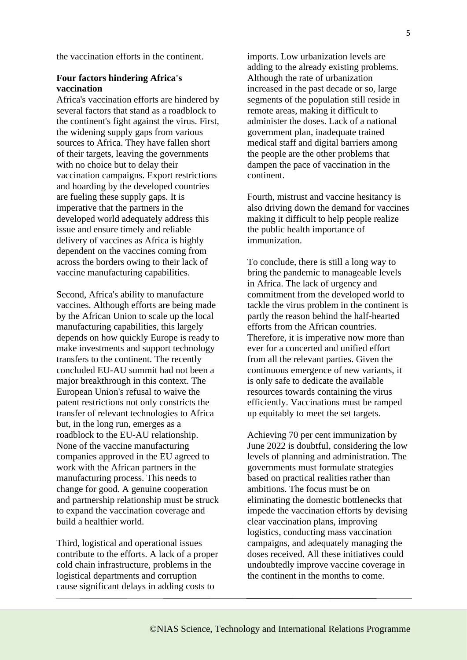the vaccination efforts in the continent.

### **Four factors hindering Africa's vaccination**

Africa's vaccination efforts are hindered by several factors that stand as a roadblock to the continent's fight against the virus. First, the widening supply gaps from various sources to Africa. They have fallen short of their targets, leaving the governments with no choice but to delay their vaccination campaigns. Export restrictions and hoarding by the developed countries are fueling these supply gaps. It is imperative that the partners in the developed world adequately address this issue and ensure timely and reliable delivery of vaccines as Africa is highly dependent on the vaccines coming from across the borders owing to their lack of vaccine manufacturing capabilities.

Second, Africa's ability to manufacture vaccines. Although efforts are being made by the African Union to scale up the local manufacturing capabilities, this largely depends on how quickly Europe is ready to make investments and support technology transfers to the continent. The recently concluded EU-AU summit had not been a major breakthrough in this context. The European Union's refusal to waive the patent restrictions not only constricts the transfer of relevant technologies to Africa but, in the long run, emerges as a roadblock to the EU-AU relationship. None of the vaccine manufacturing companies approved in the EU agreed to work with the African partners in the manufacturing process. This needs to change for good. A genuine cooperation and partnership relationship must be struck to expand the vaccination coverage and build a healthier world.

Third, logistical and operational issues contribute to the efforts. A lack of a proper cold chain infrastructure, problems in the logistical departments and corruption cause significant delays in adding costs to

imports. Low urbanization levels are adding to the already existing problems. Although the rate of urbanization increased in the past decade or so, large segments of the population still reside in remote areas, making it difficult to administer the doses. Lack of a national government plan, inadequate trained medical staff and digital barriers among the people are the other problems that dampen the pace of vaccination in the continent.

Fourth, mistrust and vaccine hesitancy is also driving down the demand for vaccines making it difficult to help people realize the public health importance of immunization.

To conclude, there is still a long way to bring the pandemic to manageable levels in Africa. The lack of urgency and commitment from the developed world to tackle the virus problem in the continent is partly the reason behind the half-hearted efforts from the African countries. Therefore, it is imperative now more than ever for a concerted and unified effort from all the relevant parties. Given the continuous emergence of new variants, it is only safe to dedicate the available resources towards containing the virus efficiently. Vaccinations must be ramped up equitably to meet the set targets.

Achieving 70 per cent immunization by June 2022 is doubtful, considering the low levels of planning and administration. The governments must formulate strategies based on practical realities rather than ambitions. The focus must be on eliminating the domestic bottlenecks that impede the vaccination efforts by devising clear vaccination plans, improving logistics, conducting mass vaccination campaigns, and adequately managing the doses received. All these initiatives could undoubtedly improve vaccine coverage in the continent in the months to come.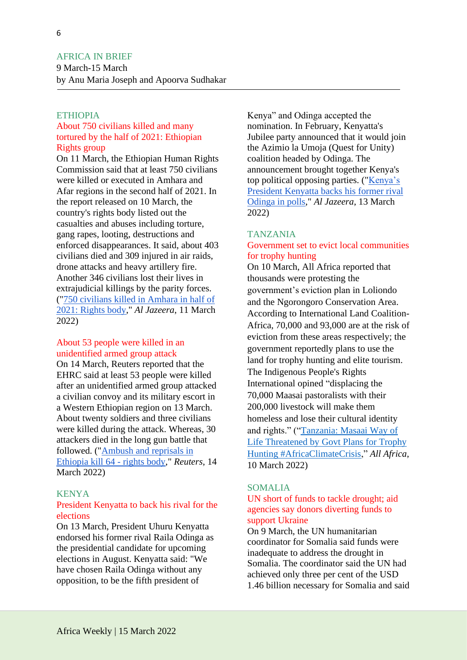# AFRICA IN BRIEF

9 March-15 March by Anu Maria Joseph and Apoorva Sudhakar

# ETHIOPIA

# About 750 civilians killed and many tortured by the half of 2021: Ethiopian Rights group

On 11 March, the Ethiopian Human Rights Commission said that at least 750 civilians were killed or executed in Amhara and Afar regions in the second half of 2021. In the report released on 10 March, the country's rights body listed out the casualties and abuses including torture, gang rapes, looting, destructions and enforced disappearances. It said, about 403 civilians died and 309 injured in air raids, drone attacks and heavy artillery fire. Another 346 civilians lost their lives in extrajudicial killings by the parity forces. (["750 civilians killed in Amhara in half of](https://www.aljazeera.com/news/2022/3/11/ethiopian-rights-body-750-civilians-killed-in-amhara-in-q2-2022)  [2021: Rights body,](https://www.aljazeera.com/news/2022/3/11/ethiopian-rights-body-750-civilians-killed-in-amhara-in-q2-2022)" *Al Jazeera*, 11 March 2022)

### About 53 people were killed in an unidentified armed group attack

On 14 March, Reuters reported that the EHRC said at least 53 people were killed after an unidentified armed group attacked a civilian convoy and its military escort in a Western Ethiopian region on 13 March. About twenty soldiers and three civilians were killed during the attack. Whereas, 30 attackers died in the long gun battle that followed. (["Ambush and reprisals in](https://www.reuters.com/world/africa/ambush-reprisals-ethiopia-kill-64-rights-body-2022-03-14/)  [Ethiopia kill 64 -](https://www.reuters.com/world/africa/ambush-reprisals-ethiopia-kill-64-rights-body-2022-03-14/) rights body," *Reuters*, 14 March 2022)

### KENYA

# President Kenyatta to back his rival for the elections

On 13 March, President Uhuru Kenyatta endorsed his former rival Raila Odinga as the presidential candidate for upcoming elections in August. Kenyatta said: "We have chosen Raila Odinga without any opposition, to be the fifth president of

Kenya" and Odinga accepted the nomination. In February, Kenyatta's Jubilee party announced that it would join the Azimio la Umoja (Quest for Unity) coalition headed by Odinga. The announcement brought together Kenya's top political opposing parties. (["Kenya's](https://www.aljazeera.com/news/2022/3/13/kenya-president-kenyatta-backs-former-arch-rival-odinga-in-polls)  [President Kenyatta backs his former rival](https://www.aljazeera.com/news/2022/3/13/kenya-president-kenyatta-backs-former-arch-rival-odinga-in-polls)  [Odinga in polls,](https://www.aljazeera.com/news/2022/3/13/kenya-president-kenyatta-backs-former-arch-rival-odinga-in-polls)" *Al Jazeera*, 13 March 2022)

#### TANZANIA

# Government set to evict local communities for trophy hunting

On 10 March, All Africa reported that thousands were protesting the government's eviction plan in Loliondo and the Ngorongoro Conservation Area. According to International Land Coalition-Africa, 70,000 and 93,000 are at the risk of eviction from these areas respectively; the government reportedly plans to use the land for trophy hunting and elite tourism. The Indigenous People's Rights International opined "displacing the 70,000 Maasai pastoralists with their 200,000 livestock will make them homeless and lose their cultural identity and rights." (["Tanzania: Masaai](https://allafrica.com/stories/202203150497.html) Way of [Life Threatened by Govt Plans for Trophy](https://allafrica.com/stories/202203150497.html)  [Hunting #AfricaClimateCrisis,](https://allafrica.com/stories/202203150497.html)" *All Africa*, 10 March 2022)

#### SOMALIA

## UN short of funds to tackle drought; aid agencies say donors diverting funds to support Ukraine

On 9 March, the UN humanitarian coordinator for Somalia said funds were inadequate to address the drought in Somalia. The coordinator said the UN had achieved only three per cent of the USD 1.46 billion necessary for Somalia and said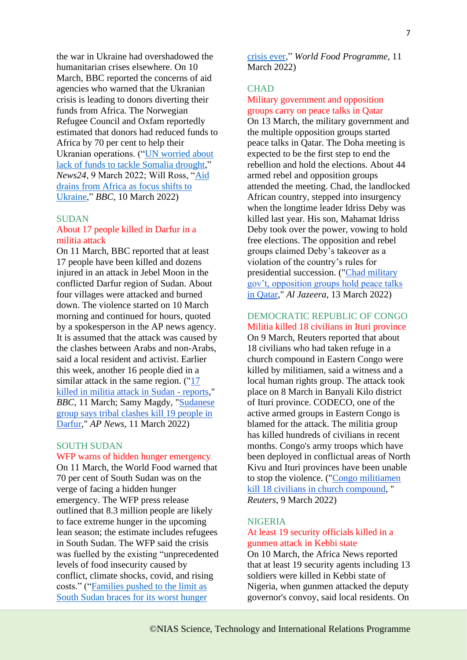the war in Ukraine had overshadowed the humanitarian crises elsewhere. On 10 March, BBC reported the concerns of aid agencies who warned that the Ukranian crisis is leading to donors diverting their funds from Africa. The Norwegian Refugee Council and Oxfam reportedly estimated that donors had reduced funds to Africa by 70 per cent to help their Ukranian operations. (["UN worried about](https://www.news24.com/news24/africa/news/un-worried-about-lack-of-funds-to-tackle-somalia-drought-20220309)  [lack of funds to tackle Somalia drought,](https://www.news24.com/news24/africa/news/un-worried-about-lack-of-funds-to-tackle-somalia-drought-20220309)" *News24*, 9 March 2022; Will Ross, ["Aid](https://www.bbc.com/news/live/world-africa-60392379?ns_mchannel=social&ns_source=twitter&ns_campaign=bbc_live&ns_linkname=622a0da30ce87e491a0eee9f%26Aid%20drains%20from%20Africa%20as%20focus%20shifts%20to%20Ukraine%262022-03-10T15%3A19%3A35%2B00%3A00&ns_fee=0&pinned_post_locator=urn:asset:24aed448-5cba-4535-b8c5-57bf73b8f93c&pinned_post_asset_id=622a0da30ce87e491a0eee9f&pinned_post_type=share)  [drains from Africa as focus shifts to](https://www.bbc.com/news/live/world-africa-60392379?ns_mchannel=social&ns_source=twitter&ns_campaign=bbc_live&ns_linkname=622a0da30ce87e491a0eee9f%26Aid%20drains%20from%20Africa%20as%20focus%20shifts%20to%20Ukraine%262022-03-10T15%3A19%3A35%2B00%3A00&ns_fee=0&pinned_post_locator=urn:asset:24aed448-5cba-4535-b8c5-57bf73b8f93c&pinned_post_asset_id=622a0da30ce87e491a0eee9f&pinned_post_type=share)  [Ukraine,](https://www.bbc.com/news/live/world-africa-60392379?ns_mchannel=social&ns_source=twitter&ns_campaign=bbc_live&ns_linkname=622a0da30ce87e491a0eee9f%26Aid%20drains%20from%20Africa%20as%20focus%20shifts%20to%20Ukraine%262022-03-10T15%3A19%3A35%2B00%3A00&ns_fee=0&pinned_post_locator=urn:asset:24aed448-5cba-4535-b8c5-57bf73b8f93c&pinned_post_asset_id=622a0da30ce87e491a0eee9f&pinned_post_type=share)" *BBC*, 10 March 2022)

#### SUDAN

#### About 17 people killed in Darfur in a militia attack

On 11 March, BBC reported that at least 17 people have been killed and dozens injured in an attack in Jebel Moon in the conflicted Darfur region of Sudan. About four villages were attacked and burned down. The violence started on 10 March morning and continued for hours, quoted by a spokesperson in the AP news agency. It is assumed that the attack was caused by the clashes between Arabs and non-Arabs, said a local resident and activist. Earlier this week, another 16 people died in a similar attack in the same region.  $("17)$ [killed in militia attack in Sudan -](https://www.bbc.com/news/topics/cq23pdgvgm8t/sudan?ns_mchannel=social&ns_source=twitter&ns_campaign=bbc_live&ns_linkname=622b5a210ce87e491a0ef137%2617%20killed%20in%20militia%20attack%20in%20Sudan%20-%20reports%262022-03-11T15%3A15%3A11.946Z&ns_fee=0&pinned_post_locator=urn:asset:779fa0de-b6aa-4152-9242-b91c6d4ff60f&pinned_post_asset_id=622b5a210ce87e491a0ef137&pinned_post_type=share) reports," *BBC*, 11 March; Samy Magdy, ["Sudanese](https://apnews.com/article/africa-sudan-middle-east-a4d91e8baf4770457c737f8e2a75fa6f)  [group says tribal clashes kill 19 people in](https://apnews.com/article/africa-sudan-middle-east-a4d91e8baf4770457c737f8e2a75fa6f)  [Darfur,](https://apnews.com/article/africa-sudan-middle-east-a4d91e8baf4770457c737f8e2a75fa6f)" *AP News*, 11 March 2022)

#### SOUTH SUDAN

#### WFP warns of hidden hunger emergency

On 11 March, the World Food warned that 70 per cent of South Sudan was on the verge of facing a hidden hunger emergency. The WFP press release outlined that 8.3 million people are likely to face extreme hunger in the upcoming lean season; the estimate includes refugees in South Sudan. The WFP said the crisis was fuelled by the existing "unprecedented levels of food insecurity caused by conflict, climate shocks, covid, and rising costs." (["Families pushed to the limit as](https://www.wfp.org/news/families-pushed-limit-south-sudan-braces-its-worst-hunger-crisis-ever)  [South Sudan braces for its worst hunger](https://www.wfp.org/news/families-pushed-limit-south-sudan-braces-its-worst-hunger-crisis-ever) 

[crisis ever,](https://www.wfp.org/news/families-pushed-limit-south-sudan-braces-its-worst-hunger-crisis-ever)" *World Food Programme,* 11 March 2022)

#### **CHAD**

# Military government and opposition groups carry on peace talks in Qatar

On 13 March, the military government and the multiple opposition groups started peace talks in Qatar. The Doha meeting is expected to be the first step to end the rebellion and hold the elections. About 44 armed rebel and opposition groups attended the meeting. Chad, the landlocked African country, stepped into insurgency when the longtime leader Idriss Deby was killed last year. His son, Mahamat Idriss Deby took over the power, vowing to hold free elections. The opposition and rebel groups claimed Deby's takeover as a violation of the country's rules for presidential succession. (["Chad military](https://www.aljazeera.com/news/2022/3/13/chad-military-govt-opposition-groups-hold-peace-talks-in-qatar)  [gov't, opposition groups hold peace talks](https://www.aljazeera.com/news/2022/3/13/chad-military-govt-opposition-groups-hold-peace-talks-in-qatar)  [in Qatar,](https://www.aljazeera.com/news/2022/3/13/chad-military-govt-opposition-groups-hold-peace-talks-in-qatar)" *Al Jazeera*, 13 March 2022)

#### DEMOCRATIC REPUBLIC OF CONGO Militia killed 18 civilians in Ituri province

On 9 March, Reuters reported that about 18 civilians who had taken refuge in a church compound in Eastern Congo were killed by militiamen, said a witness and a local human rights group. The attack took place on 8 March in Banyali Kilo district of Ituri province. CODECO, one of the active armed groups in Eastern Congo is blamed for the attack. The militia group has killed hundreds of civilians in recent months. Congo's army troops which have been deployed in conflictual areas of North Kivu and Ituri provinces have been unable to stop the violence. (["Congo militiamen](https://www.reuters.com/world/africa/congo-militiamen-kill-18-civilians-church-compound-2022-03-09/)  [kill 18 civilians in church compound,](https://www.reuters.com/world/africa/congo-militiamen-kill-18-civilians-church-compound-2022-03-09/) " *Reuters*, 9 March 2022)

## **NIGERIA**

# At least 19 security officials killed in a gunmen attack in Kebbi state

On 10 March, the Africa News reported that at least 19 security agents including 13 soldiers were killed in Kebbi state of Nigeria, when gunmen attacked the deputy governor's convoy, said local residents. On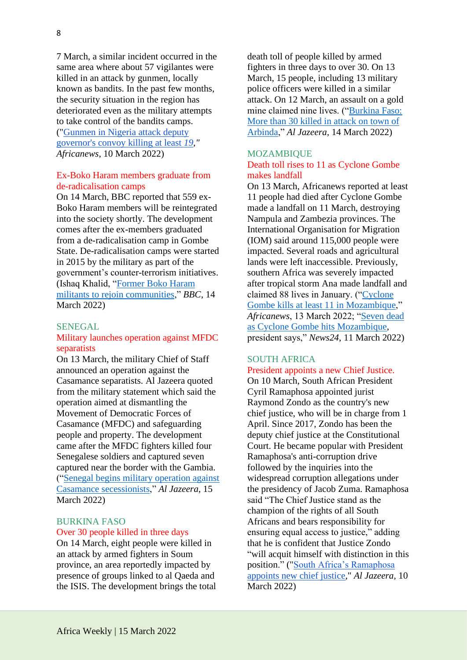7 March, a similar incident occurred in the same area where about 57 vigilantes were killed in an attack by gunmen, locally known as bandits. In the past few months, the security situation in the region has deteriorated even as the military attempts to take control of the bandits camps. (["Gunmen in Nigeria attack deputy](https://www.google.com/amp/s/www.africanews.com/amp/2022/03/10/gunmen-in-nigeria-attack-deputy-governor-s-convoy-killing-at-least-19/)  [governor's convoy killing at least](https://www.google.com/amp/s/www.africanews.com/amp/2022/03/10/gunmen-in-nigeria-attack-deputy-governor-s-convoy-killing-at-least-19/) *19," Africanews*, 10 March 2022)

# Ex-Boko Haram members graduate from de-radicalisation camps

On 14 March, BBC reported that 559 ex-Boko Haram members will be reintegrated into the society shortly. The development comes after the ex-members graduated from a de-radicalisation camp in Gombe State. De-radicalisation camps were started in 2015 by the military as part of the government's counter-terrorism initiatives. (Ishaq Khalid, ["Former Boko Haram](https://www.bbc.com/news/live/world-africa-60392384?ns_mchannel=social&ns_source=twitter&ns_campaign=bbc_live&ns_linkname=622f12ceec502b53cd4821e5%26Former%20Boko%20Haram%20militants%20to%20rejoin%20communities%262022-03-14T16%3A28%3A48.805Z&ns_fee=0&pinned_post_locator=urn:asset:ae59363c-26c8-459e-b775-f0de8f612bef&pinned_post_asset_id=622f12ceec502b53cd4821e5&pinned_post_type=share)  [militants to rejoin communities,](https://www.bbc.com/news/live/world-africa-60392384?ns_mchannel=social&ns_source=twitter&ns_campaign=bbc_live&ns_linkname=622f12ceec502b53cd4821e5%26Former%20Boko%20Haram%20militants%20to%20rejoin%20communities%262022-03-14T16%3A28%3A48.805Z&ns_fee=0&pinned_post_locator=urn:asset:ae59363c-26c8-459e-b775-f0de8f612bef&pinned_post_asset_id=622f12ceec502b53cd4821e5&pinned_post_type=share)" *BBC*, 14 March 2022)

# SENEGAL

### Military launches operation against MFDC separatists

On 13 March, the military Chief of Staff announced an operation against the Casamance separatists. Al Jazeera quoted from the military statement which said the operation aimed at dismantling the Movement of Democratic Forces of Casamance (MFDC) and safeguarding people and property. The development came after the MFDC fighters killed four Senegalese soldiers and captured seven captured near the border with the Gambia. (["Senegal begins military operation against](https://www.aljazeera.com/news/2022/3/15/senegal-begins-military-operation-against-casamance-secessionists)  [Casamance secessionists,](https://www.aljazeera.com/news/2022/3/15/senegal-begins-military-operation-against-casamance-secessionists)" *Al Jazeera*, 15 March 2022)

#### BURKINA FASO Over 30 people killed in three days

On 14 March, eight people were killed in an attack by armed fighters in Soum province, an area reportedly impacted by presence of groups linked to al Qaeda and the ISIS. The development brings the total

death toll of people killed by armed fighters in three days to over 30. On 13 March, 15 people, including 13 military police officers were killed in a similar attack. On 12 March, an assault on a gold mine claimed nine lives. (["Burkina Faso:](https://www.aljazeera.com/news/2022/3/14/burkina-fasio-over-30-killed-in-armed-attack-in-town-of-arbinda)  [More than 30 killed in attack on town of](https://www.aljazeera.com/news/2022/3/14/burkina-fasio-over-30-killed-in-armed-attack-in-town-of-arbinda)  [Arbinda,](https://www.aljazeera.com/news/2022/3/14/burkina-fasio-over-30-killed-in-armed-attack-in-town-of-arbinda)" *Al Jazeera,* 14 March 2022)

#### MOZAMBIQUE

#### Death toll rises to 11 as Cyclone Gombe makes landfall

On 13 March, Africanews reported at least 11 people had died after Cyclone Gombe made a landfall on 11 March, destroying Nampula and Zambezia provinces. The International Organisation for Migration (IOM) said around 115,000 people were impacted. Several roads and agricultural lands were left inaccessible. Previously, southern Africa was severely impacted after tropical storm Ana made landfall and claimed 88 lives in January. (["Cyclone](https://www.africanews.com/2022/03/13/cyclone-gombe-kills-at-least-11-in-mozambique/)  Gombe kills at least 11 in Mozambique." *Africanews*, 13 March 2022; ["Seven dead](https://www.news24.com/news24/africa/news/seven-dead-as-cyclone-gombe-hits-mozambique-president-20220311)  [as Cyclone Gombe hits Mozambique,](https://www.news24.com/news24/africa/news/seven-dead-as-cyclone-gombe-hits-mozambique-president-20220311) president says," *News24*, 11 March 2022)

#### SOUTH AFRICA

# President appoints a new Chief Justice.

On 10 March, South African President Cyril Ramaphosa appointed jurist Raymond Zondo as the country's new chief justice, who will be in charge from 1 April. Since 2017, Zondo has been the deputy chief justice at the Constitutional Court. He became popular with President Ramaphosa's anti-corruption drive followed by the inquiries into the widespread corruption allegations under the presidency of Jacob Zuma. Ramaphosa said "The Chief Justice stand as the champion of the rights of all South Africans and bears responsibility for ensuring equal access to justice," adding that he is confident that Justice Zondo "will acquit himself with distinction in this position." (["South Africa's Ramaphosa](https://www.aljazeera.com/news/2022/3/10/south-africas-ramaphosa-appoints-new-justice)  [appoints new chief justice,](https://www.aljazeera.com/news/2022/3/10/south-africas-ramaphosa-appoints-new-justice)" *Al Jazeera*, 10 March 2022)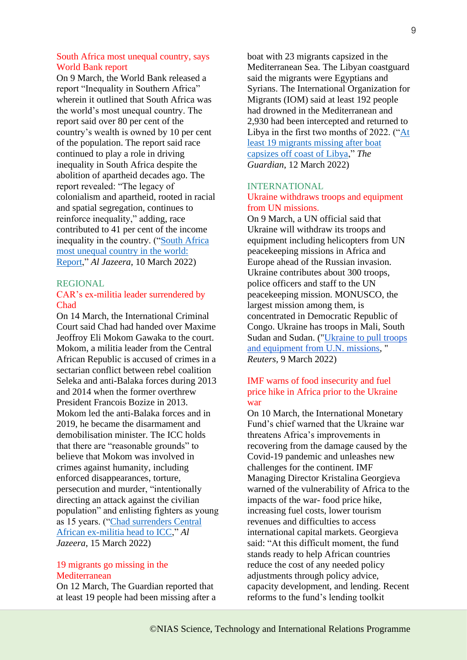### South Africa most unequal country, says World Bank report

On 9 March, the World Bank released a report "Inequality in Southern Africa" wherein it outlined that South Africa was the world's most unequal country. The report said over 80 per cent of the country's wealth is owned by 10 per cent of the population. The report said race continued to play a role in driving inequality in South Africa despite the abolition of apartheid decades ago. The report revealed: "The legacy of colonialism and apartheid, rooted in racial and spatial segregation, continues to reinforce inequality," adding, race contributed to 41 per cent of the income inequality in the country. (["South Africa](https://www.aljazeera.com/news/2022/3/10/south-africa-most-unequal-country-in-the-world-report)  [most unequal country in the world:](https://www.aljazeera.com/news/2022/3/10/south-africa-most-unequal-country-in-the-world-report)  [Report,](https://www.aljazeera.com/news/2022/3/10/south-africa-most-unequal-country-in-the-world-report)" *Al Jazeera*, 10 March 2022)

#### REGIONAL

# CAR's ex-militia leader surrendered by Chad

On 14 March, the International Criminal Court said Chad had handed over Maxime Jeoffroy Eli Mokom Gawaka to the court. Mokom, a militia leader from the Central African Republic is accused of crimes in a sectarian conflict between rebel coalition Seleka and anti-Balaka forces during 2013 and 2014 when the former overthrew President Francois Bozize in 2013. Mokom led the anti-Balaka forces and in 2019, he became the disarmament and demobilisation minister. The ICC holds that there are "reasonable grounds" to believe that Mokom was involved in crimes against humanity, including enforced disappearances, torture, persecution and murder, "intentionally directing an attack against the civilian population" and enlisting fighters as young as 15 years. (["Chad surrenders Central](https://www.aljazeera.com/news/2022/3/15/chad-surrenders-central-african-ex-militia-head-to-icc)  [African ex-militia head to ICC,](https://www.aljazeera.com/news/2022/3/15/chad-surrenders-central-african-ex-militia-head-to-icc)" *Al Jazeera*, 15 March 2022)

# 19 migrants go missing in the Mediterranean

On 12 March, The Guardian reported that at least 19 people had been missing after a boat with 23 migrants capsized in the Mediterranean Sea. The Libyan coastguard said the migrants were Egyptians and Syrians. The International Organization for Migrants (IOM) said at least 192 people had drowned in the Mediterranean and 2,930 had been intercepted and returned to Libya in the first two months of 2022. (["At](https://www.theguardian.com/world/2022/mar/12/at-least-19-migrants-missing-after-boat-capsizes-off-coast-of-libya)  [least 19 migrants missing after boat](https://www.theguardian.com/world/2022/mar/12/at-least-19-migrants-missing-after-boat-capsizes-off-coast-of-libya)  [capsizes off coast of Libya,](https://www.theguardian.com/world/2022/mar/12/at-least-19-migrants-missing-after-boat-capsizes-off-coast-of-libya)" *The Guardian*, 12 March 2022)

# INTERNATIONAL

### Ukraine withdraws troops and equipment from UN missions.

On 9 March, a UN official said that Ukraine will withdraw its troops and equipment including helicopters from UN peacekeeping missions in Africa and Europe ahead of the Russian invasion. Ukraine contributes about 300 troops, police officers and staff to the UN peacekeeping mission. MONUSCO, the largest mission among them, is concentrated in Democratic Republic of Congo. Ukraine has troops in Mali, South Sudan and Sudan. (["Ukraine to pull troops](https://www.reuters.com/world/ukraine-pull-troops-equipment-un-missions-2022-03-09/)  [and equipment from U.N. missions,](https://www.reuters.com/world/ukraine-pull-troops-equipment-un-missions-2022-03-09/) " *Reuters,* 9 March 2022)

## IMF warns of food insecurity and fuel price hike in Africa prior to the Ukraine war

On 10 March, the International Monetary Fund's chief warned that the Ukraine war threatens Africa's improvements in recovering from the damage caused by the Covid-19 pandemic and unleashes new challenges for the continent. IMF Managing Director Kristalina Georgieva warned of the vulnerability of Africa to the impacts of the war- food price hike, increasing fuel costs, lower tourism revenues and difficulties to access international capital markets. Georgieva said: "At this difficult moment, the fund stands ready to help African countries reduce the cost of any needed policy adjustments through policy advice, capacity development, and lending. Recent reforms to the fund's lending toolkit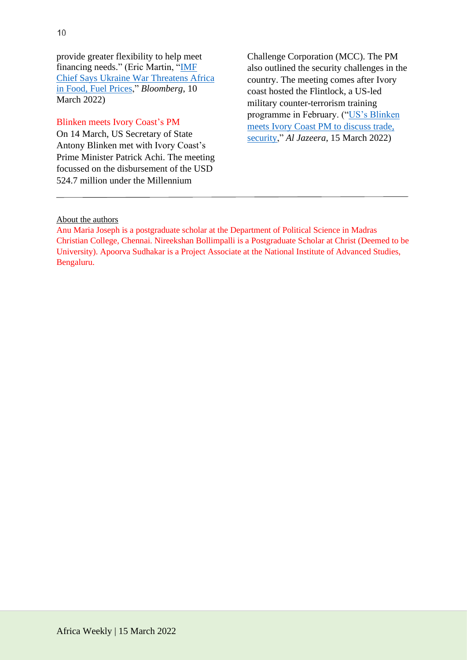provide greater flexibility to help meet financing needs." (Eric Martin, ["IMF](https://www.google.co.in/url?sa=t&rct=j&q=&esrc=s&source=web&cd=&cad=rja&uact=8&ved=2ahUKEwiSzr636Mn2AhVCH7cAHVc9DwYQFnoECA0QAQ&url=https%3A%2F%2Fwww.bloomberg.com%2Fnews%2Farticles%2F2022-03-10%2Fimf-chief-says-ukraine-war-threatens-africa-in-food-fuel-prices&usg=AOvVaw0QKQS5tRVB1X6JyBOrlgFK)  [Chief Says Ukraine War Threatens Africa](https://www.google.co.in/url?sa=t&rct=j&q=&esrc=s&source=web&cd=&cad=rja&uact=8&ved=2ahUKEwiSzr636Mn2AhVCH7cAHVc9DwYQFnoECA0QAQ&url=https%3A%2F%2Fwww.bloomberg.com%2Fnews%2Farticles%2F2022-03-10%2Fimf-chief-says-ukraine-war-threatens-africa-in-food-fuel-prices&usg=AOvVaw0QKQS5tRVB1X6JyBOrlgFK)  [in Food, Fuel Prices,](https://www.google.co.in/url?sa=t&rct=j&q=&esrc=s&source=web&cd=&cad=rja&uact=8&ved=2ahUKEwiSzr636Mn2AhVCH7cAHVc9DwYQFnoECA0QAQ&url=https%3A%2F%2Fwww.bloomberg.com%2Fnews%2Farticles%2F2022-03-10%2Fimf-chief-says-ukraine-war-threatens-africa-in-food-fuel-prices&usg=AOvVaw0QKQS5tRVB1X6JyBOrlgFK)" *Bloomberg*, 10 March 2022)

# Blinken meets Ivory Coast's PM

On 14 March, US Secretary of State Antony Blinken met with Ivory Coast's Prime Minister Patrick Achi. The meeting focussed on the disbursement of the USD 524.7 million under the Millennium

Challenge Corporation (MCC). The PM also outlined the security challenges in the country. The meeting comes after Ivory coast hosted the Flintlock, a US-led military counter-terrorism training programme in February. (["US's Blinken](https://www.aljazeera.com/news/2022/3/15/blinken-meets-ivory-coast-pm-amid-sahel-security-uncertainties)  [meets Ivory Coast PM to discuss trade,](https://www.aljazeera.com/news/2022/3/15/blinken-meets-ivory-coast-pm-amid-sahel-security-uncertainties)  [security,](https://www.aljazeera.com/news/2022/3/15/blinken-meets-ivory-coast-pm-amid-sahel-security-uncertainties)" *Al Jazeera*, 15 March 2022)

### About the authors

Anu Maria Joseph is a postgraduate scholar at the Department of Political Science in Madras Christian College, Chennai. Nireekshan Bollimpalli is a Postgraduate Scholar at Christ (Deemed to be University). Apoorva Sudhakar is a Project Associate at the National Institute of Advanced Studies, Bengaluru.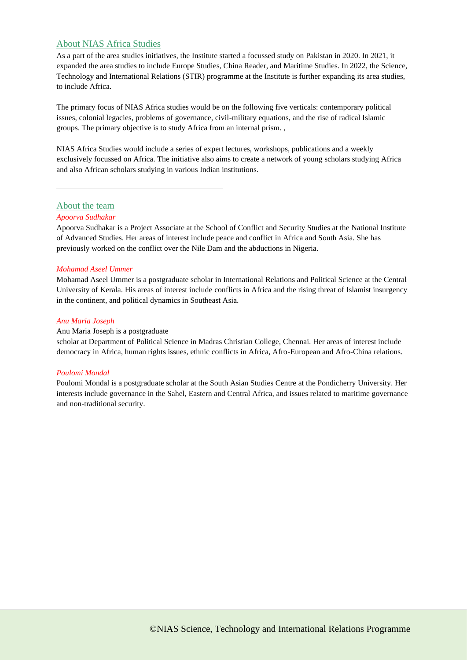#### About NIAS Africa Studies

As a part of the area studies initiatives, the Institute started a focussed study on Pakistan in 2020. In 2021, it expanded the area studies to include Europe Studies, China Reader, and Maritime Studies. In 2022, the Science, Technology and International Relations (STIR) programme at the Institute is further expanding its area studies, to include Africa.

The primary focus of NIAS Africa studies would be on the following five verticals: contemporary political issues, colonial legacies, problems of governance, civil-military equations, and the rise of radical Islamic groups. The primary objective is to study Africa from an internal prism. ,

NIAS Africa Studies would include a series of expert lectures, workshops, publications and a weekly exclusively focussed on Africa. The initiative also aims to create a network of young scholars studying Africa and also African scholars studying in various Indian institutions.

#### About the team

#### *Apoorva Sudhakar*

Apoorva Sudhakar is a Project Associate at the School of Conflict and Security Studies at the National Institute of Advanced Studies. Her areas of interest include peace and conflict in Africa and South Asia. She has previously worked on the conflict over the Nile Dam and the abductions in Nigeria.

#### *Mohamad Aseel Ummer*

Mohamad Aseel Ummer is a postgraduate scholar in International Relations and Political Science at the Central University of Kerala. His areas of interest include conflicts in Africa and the rising threat of Islamist insurgency in the continent, and political dynamics in Southeast Asia.

#### *Anu Maria Joseph*

#### Anu Maria Joseph is a postgraduate

scholar at Department of Political Science in Madras Christian College, Chennai. Her areas of interest include democracy in Africa, human rights issues, ethnic conflicts in Africa, Afro-European and Afro-China relations.

#### *Poulomi Mondal*

Poulomi Mondal is a postgraduate scholar at the South Asian Studies Centre at the Pondicherry University. Her interests include governance in the Sahel, Eastern and Central Africa, and issues related to maritime governance and non-traditional security.